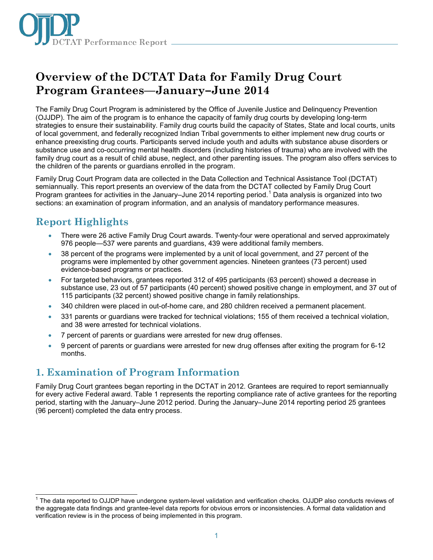

# **Overview of the DCTAT Data for Family Drug Court Program Grantees—January–June 2014**

The Family Drug Court Program is administered by the Office of Juvenile Justice and Delinquency Prevention (OJJDP). The aim of the program is to enhance the capacity of family drug courts by developing long-term strategies to ensure their sustainability. Family drug courts build the capacity of States, State and local courts, units of local government, and federally recognized Indian Tribal governments to either implement new drug courts or enhance preexisting drug courts. Participants served include youth and adults with substance abuse disorders or substance use and co-occurring mental health disorders (including histories of trauma) who are involved with the family drug court as a result of child abuse, neglect, and other parenting issues. The program also offers services to the children of the parents or guardians enrolled in the program.

Family Drug Court Program data are collected in the Data Collection and Technical Assistance Tool (DCTAT) semiannually. This report presents an overview of the data from the DCTAT collected by Family Drug Court Program grantees for activities in the January–June 20[1](#page-0-0)4 reporting period.<sup>1</sup> Data analysis is organized into two sections: an examination of program information, and an analysis of mandatory performance measures.

# **Report Highlights**

- There were 26 active Family Drug Court awards. Twenty-four were operational and served approximately 976 people—537 were parents and guardians, 439 were additional family members.
- 38 percent of the programs were implemented by a unit of local government, and 27 percent of the programs were implemented by other government agencies. Nineteen grantees (73 percent) used evidence-based programs or practices.
- For targeted behaviors, grantees reported 312 of 495 participants (63 percent) showed a decrease in substance use, 23 out of 57 participants (40 percent) showed positive change in employment, and 37 out of 115 participants (32 percent) showed positive change in family relationships.
- 340 children were placed in out-of-home care, and 280 children received a permanent placement.
- 331 parents or guardians were tracked for technical violations; 155 of them received a technical violation, and 38 were arrested for technical violations.
- 7 percent of parents or guardians were arrested for new drug offenses.
- 9 percent of parents or guardians were arrested for new drug offenses after exiting the program for 6-12 months.

# **1. Examination of Program Information**

Family Drug Court grantees began reporting in the DCTAT in 2012. Grantees are required to report semiannually for every active Federal award. Table 1 represents the reporting compliance rate of active grantees for the reporting period, starting with the January–June 2012 period. During the January–June 2014 reporting period 25 grantees (96 percent) completed the data entry process.

<span id="page-0-0"></span> $\overline{\phantom{a}}$  $1$  The data reported to OJJDP have undergone system-level validation and verification checks. OJJDP also conducts reviews of the aggregate data findings and grantee-level data reports for obvious errors or inconsistencies. A formal data validation and verification review is in the process of being implemented in this program.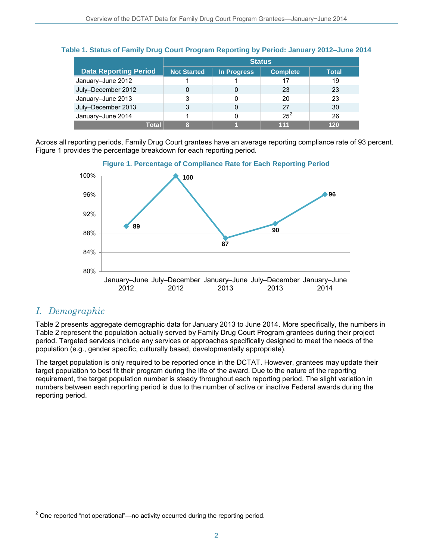|                              | <b>Status</b>      |             |                 |              |
|------------------------------|--------------------|-------------|-----------------|--------------|
| <b>Data Reporting Period</b> | <b>Not Started</b> | In Progress | <b>Complete</b> | <b>Total</b> |
| January-June 2012            |                    |             |                 | 19           |
| July-December 2012           |                    | 0           | 23              | 23           |
| January-June 2013            | 3                  | 0           | 20              | 23           |
| July-December 2013           | 3                  | 0           | 27              | 30           |
| January-June 2014            |                    | 0           | $25^2$          | 26           |
| Total                        |                    |             | 111             | 120          |

### **Table 1. Status of Family Drug Court Program Reporting by Period: January 2012–June 2014**

Across all reporting periods, Family Drug Court grantees have an average reporting compliance rate of 93 percent. Figure 1 provides the percentage breakdown for each reporting period.



### *I. Demographic*

Table 2 presents aggregate demographic data for January 2013 to June 2014. More specifically, the numbers in Table 2 represent the population actually served by Family Drug Court Program grantees during their project period. Targeted services include any services or approaches specifically designed to meet the needs of the population (e.g., gender specific, culturally based, developmentally appropriate).

The target population is only required to be reported once in the DCTAT. However, grantees may update their target population to best fit their program during the life of the award. Due to the nature of the reporting requirement, the target population number is steady throughout each reporting period. The slight variation in numbers between each reporting period is due to the number of active or inactive Federal awards during the reporting period.

<span id="page-1-0"></span> $\overline{a}$  $2$  One reported "not operational"—no activity occurred during the reporting period.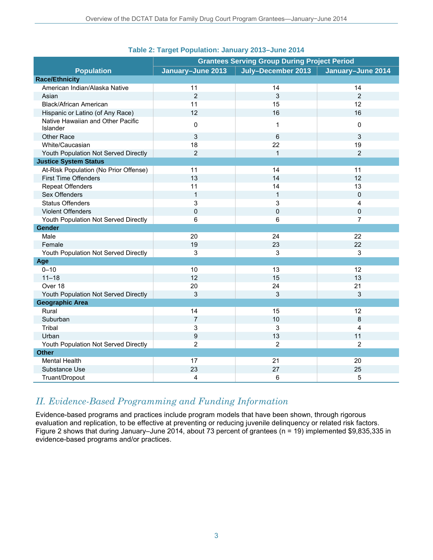|                                               | <b>Grantees Serving Group During Project Period</b> |                    |                   |
|-----------------------------------------------|-----------------------------------------------------|--------------------|-------------------|
| <b>Population</b>                             | January-June 2013                                   | July-December 2013 | January-June 2014 |
| <b>Race/Ethnicity</b>                         |                                                     |                    |                   |
| American Indian/Alaska Native                 | 11                                                  | 14                 | 14                |
| Asian                                         | $\overline{2}$                                      | 3                  | $\overline{2}$    |
| <b>Black/African American</b>                 | 11                                                  | 15                 | 12                |
| Hispanic or Latino (of Any Race)              | 12                                                  | 16                 | 16                |
| Native Hawaiian and Other Pacific<br>Islander | 0                                                   | $\mathbf 1$        | 0                 |
| <b>Other Race</b>                             | 3                                                   | 6                  | 3                 |
| White/Caucasian                               | 18                                                  | 22                 | 19                |
| Youth Population Not Served Directly          | $\overline{2}$                                      | $\mathbf{1}$       | $\overline{2}$    |
| <b>Justice System Status</b>                  |                                                     |                    |                   |
| At-Risk Population (No Prior Offense)         | 11                                                  | 14                 | 11                |
| <b>First Time Offenders</b>                   | 13                                                  | 14                 | 12                |
| <b>Repeat Offenders</b>                       | 11                                                  | 14                 | 13                |
| Sex Offenders                                 | $\mathbf{1}$                                        | $\mathbf{1}$       | $\pmb{0}$         |
| <b>Status Offenders</b>                       | 3                                                   | 3                  | $\overline{4}$    |
| <b>Violent Offenders</b>                      | $\mathbf 0$                                         | $\mathbf 0$        | $\mathbf 0$       |
| Youth Population Not Served Directly          | 6                                                   | 6                  | $\overline{7}$    |
| Gender                                        |                                                     |                    |                   |
| Male                                          | 20                                                  | 24                 | 22                |
| Female                                        | 19                                                  | 23                 | 22                |
| Youth Population Not Served Directly          | 3                                                   | 3                  | 3                 |
| Age                                           |                                                     |                    |                   |
| $0 - 10$                                      | 10                                                  | 13                 | 12                |
| $11 - 18$                                     | 12                                                  | 15                 | 13                |
| Over 18                                       | 20                                                  | 24                 | 21                |
| Youth Population Not Served Directly          | 3                                                   | 3                  | 3                 |
| <b>Geographic Area</b>                        |                                                     |                    |                   |
| Rural                                         | 14                                                  | 15                 | 12                |
| Suburban                                      | $\overline{7}$                                      | 10                 | 8                 |
| Tribal                                        | 3                                                   | 3                  | 4                 |
| Urban                                         | 9                                                   | 13                 | 11                |
| Youth Population Not Served Directly          | $\overline{2}$                                      | $\overline{2}$     | $\overline{2}$    |
| <b>Other</b>                                  |                                                     |                    |                   |
| <b>Mental Health</b>                          | 17                                                  | 21                 | 20                |
| Substance Use                                 | 23                                                  | 27                 | 25                |
| Truant/Dropout                                | 4                                                   | 6                  | 5                 |

### **Table 2: Target Population: January 2013–June 2014**

### *II. Evidence-Based Programming and Funding Information*

Evidence-based programs and practices include program models that have been shown, through rigorous evaluation and replication, to be effective at preventing or reducing juvenile delinquency or related risk factors. Figure 2 shows that during January–June 2014, about 73 percent of grantees (n = 19) implemented \$9,835,335 in evidence-based programs and/or practices.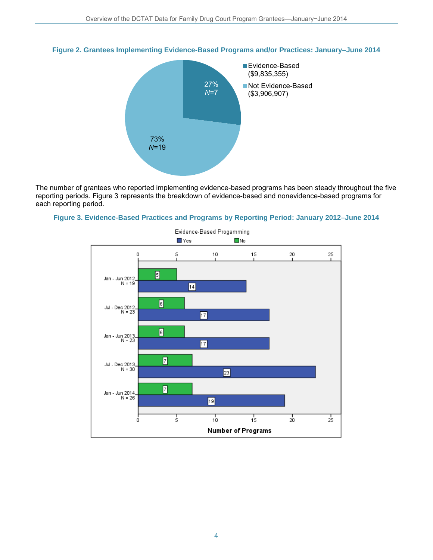

#### **Figure 2. Grantees Implementing Evidence-Based Programs and/or Practices: January–June 2014**

The number of grantees who reported implementing evidence-based programs has been steady throughout the five reporting periods. Figure 3 represents the breakdown of evidence-based and nonevidence-based programs for each reporting period.





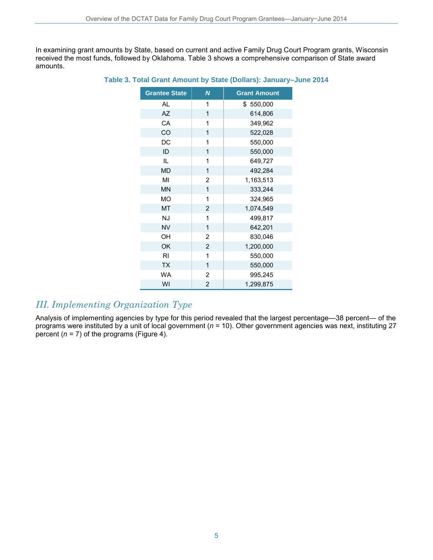In examining grant amounts by State, based on current and active Family Drug Court Program grants, Wisconsin received the most funds, followed by Oklahoma. Table 3 shows a comprehensive comparison of State award amounts.

| <b>Grantee State</b> | N              | <b>Grant Amount</b> |
|----------------------|----------------|---------------------|
| AL                   | 1              | \$550,000           |
| <b>AZ</b>            | 1              | 614,806             |
| CA                   | 1              | 349,962             |
| CO                   | 1              | 522,028             |
| DC                   | 1              | 550,000             |
| ID                   | 1              | 550,000             |
| IL.                  | 1              | 649,727             |
| <b>MD</b>            | 1              | 492,284             |
| MI                   | $\overline{2}$ | 1,163,513           |
| <b>MN</b>            | 1              | 333,244             |
| <b>MO</b>            | 1              | 324,965             |
| <b>MT</b>            | $\overline{c}$ | 1,074,549           |
| <b>NJ</b>            | 1              | 499,817             |
| <b>NV</b>            | 1              | 642,201             |
| OH                   | 2              | 830,046             |
| OK                   | $\overline{2}$ | 1,200,000           |
| RI                   | 1              | 550,000             |
| <b>TX</b>            | 1              | 550,000             |
| WA                   | $\overline{2}$ | 995,245             |
| WI                   | $\overline{2}$ | 1,299,875           |

#### **Table 3. Total Grant Amount by State (Dollars): January–June 2014**

## *III. Implementing Organization Type*

Analysis of implementing agencies by type for this period revealed that the largest percentage-38 percent- of the programs were instituted by a unit of local government (*n* = 10). Other government agencies was next, instituting 27 percent  $(n = 7)$  of the programs (Figure 4).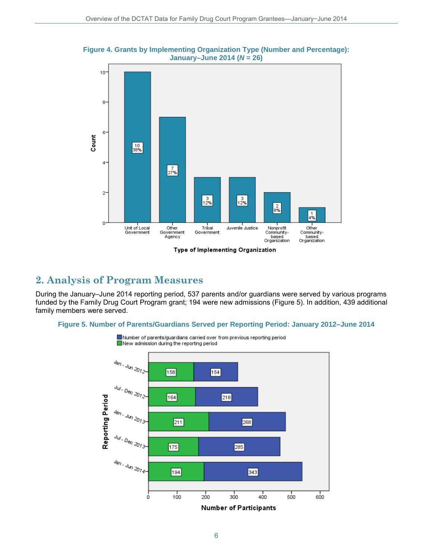



#### Type of Implementing Organization

### **2. Analysis of Program Measures**

During the January–June 2014 reporting period, 537 parents and/or guardians were served by various programs funded by the Family Drug Court Program grant; 194 were new admissions (Figure 5). In addition, 439 additional family members were served.

#### **Figure 5. Number of Parents/Guardians Served per Reporting Period: January 2012–June 2014**

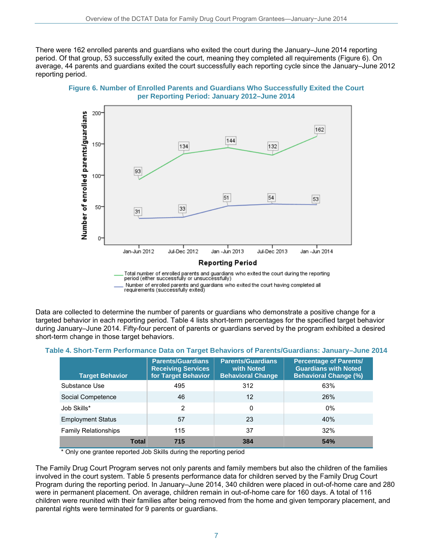There were 162 enrolled parents and guardians who exited the court during the January–June 2014 reporting period. Of that group, 53 successfully exited the court, meaning they completed all requirements (Figure 6). On average, 44 parents and guardians exited the court successfully each reporting cycle since the January–June 2012 reporting period.





Total number of enrolled parents and guardians who exited the court during the reporting<br>period (either successfully or unsuccessfully) , Number of enrolled parents and guardians who exited the court having completed all<br>requirements (successfully exited)

Data are collected to determine the number of parents or guardians who demonstrate a positive change for a targeted behavior in each reporting period. Table 4 lists short-term percentages for the specified target behavior during January–June 2014. Fifty-four percent of parents or guardians served by the program exhibited a desired short-term change in those target behaviors.

| <b>Target Behavior</b>      | <b>Parents/Guardians</b><br><b>Receiving Services</b><br>for Target Behavior | <b>Parents/Guardians</b><br>with Noted<br><b>Behavioral Change</b> | <b>Percentage of Parents/</b><br><b>Guardians with Noted</b><br><b>Behavioral Change (%)</b> |
|-----------------------------|------------------------------------------------------------------------------|--------------------------------------------------------------------|----------------------------------------------------------------------------------------------|
| Substance Use               | 495                                                                          | 312                                                                | 63%                                                                                          |
| Social Competence           | 46                                                                           | 12                                                                 | 26%                                                                                          |
| Job Skills*                 | $\overline{2}$                                                               | 0                                                                  | $0\%$                                                                                        |
| <b>Employment Status</b>    | 57                                                                           | 23                                                                 | 40%                                                                                          |
| <b>Family Relationships</b> | 115                                                                          | 37                                                                 | 32%                                                                                          |
| <b>Total</b>                | 715                                                                          | 384                                                                | 54%                                                                                          |

| Table 4. Short-Term Performance Data on Target Behaviors of Parents/Guardians: January–June 2014 |  |  |  |
|--------------------------------------------------------------------------------------------------|--|--|--|
|--------------------------------------------------------------------------------------------------|--|--|--|

\* Only one grantee reported Job Skills during the reporting period

The Family Drug Court Program serves not only parents and family members but also the children of the families involved in the court system. Table 5 presents performance data for children served by the Family Drug Court Program during the reporting period. In January–June 2014, 340 children were placed in out-of-home care and 280 were in permanent placement. On average, children remain in out-of-home care for 160 days. A total of 116 children were reunited with their families after being removed from the home and given temporary placement, and parental rights were terminated for 9 parents or guardians.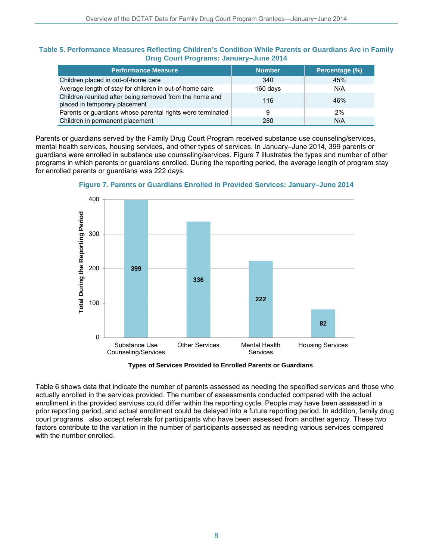#### **Table 5. Performance Measures Reflecting Children's Condition While Parents or Guardians Are in Family Drug Court Programs: January–June 2014**

| <b>Performance Measure</b>                                                               | <b>Number</b> | Percentage (%) |
|------------------------------------------------------------------------------------------|---------------|----------------|
| Children placed in out-of-home care                                                      | 340           | 45%            |
| Average length of stay for children in out-of-home care                                  | 160 days      | N/A            |
| Children reunited after being removed from the home and<br>placed in temporary placement | 116           | 46%            |
| Parents or guardians whose parental rights were terminated                               | 9             | 2%             |
| Children in permanent placement                                                          | 280           | N/A            |

Parents or guardians served by the Family Drug Court Program received substance use counseling/services, mental health services, housing services, and other types of services. In January–June 2014, 399 parents or guardians were enrolled in substance use counseling/services. Figure 7 illustrates the types and number of other programs in which parents or guardians enrolled. During the reporting period, the average length of program stay for enrolled parents or guardians was 222 days.



**Figure 7. Parents or Guardians Enrolled in Provided Services: January–June 2014**

**Types of Services Provided to Enrolled Parents or Guardians** 

Table 6 shows data that indicate the number of parents assessed as needing the specified services and those who actually enrolled in the services provided. The number of assessments conducted compared with the actual enrollment in the provided services could differ within the reporting cycle. People may have been assessed in a prior reporting period, and actual enrollment could be delayed into a future reporting period. In addition, family drug court programs also accept referrals for participants who have been assessed from another agency. These two factors contribute to the variation in the number of participants assessed as needing various services compared with the number enrolled.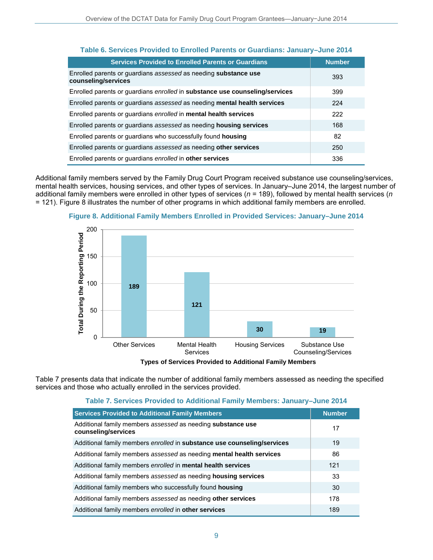| Table 6. Services Provided to Enrolled Parents or Guardians: January-June 2014                |               |  |
|-----------------------------------------------------------------------------------------------|---------------|--|
| <b>Services Provided to Enrolled Parents or Guardians</b>                                     | <b>Number</b> |  |
| Enrolled parents or quardians assessed as needing <b>substance use</b><br>counseling/services | 393           |  |
| Enrolled parents or guardians enrolled in substance use counseling/services                   | 399           |  |
| Enrolled parents or quardians assessed as needing mental health services                      | 224           |  |
| Enrolled parents or quardians enrolled in mental health services                              | 222           |  |
| Enrolled parents or quardians assessed as needing <b>housing services</b>                     | 168           |  |
| Enrolled parents or guardians who successfully found housing                                  | 82            |  |
| Enrolled parents or quardians assessed as needing other services                              | 250           |  |
| Enrolled parents or quardians enrolled in other services                                      | 336           |  |

Additional family members served by the Family Drug Court Program received substance use counseling/services, mental health services, housing services, and other types of services. In January–June 2014, the largest number of additional family members were enrolled in other types of services (*n* = 189), followed by mental health services (*n* = 121). Figure 8 illustrates the number of other programs in which additional family members are enrolled.



**Figure 8. Additional Family Members Enrolled in Provided Services: January–June 2014**

**Types of Services Provided to Additional Family Members** 

Table 7 presents data that indicate the number of additional family members assessed as needing the specified services and those who actually enrolled in the services provided.

#### **Table 7. Services Provided to Additional Family Members: January–June 2014**

| <b>Services Provided to Additional Family Members</b>                              | <b>Number</b> |
|------------------------------------------------------------------------------------|---------------|
| Additional family members assessed as needing substance use<br>counseling/services | 17            |
| Additional family members enrolled in substance use counseling/services            | 19            |
| Additional family members assessed as needing mental health services               | 86            |
| Additional family members enrolled in mental health services                       | 121           |
| Additional family members assessed as needing housing services                     | 33            |
| Additional family members who successfully found housing                           | 30            |
| Additional family members assessed as needing other services                       | 178           |
| Additional family members enrolled in other services                               | 189           |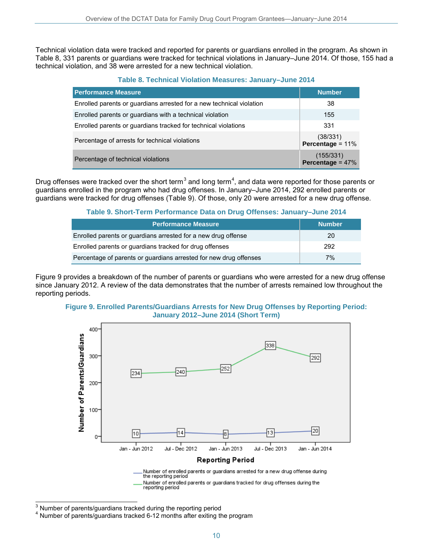Technical violation data were tracked and reported for parents or guardians enrolled in the program. As shown in Table 8, 331 parents or guardians were tracked for technical violations in January–June 2014. Of those, 155 had a technical violation, and 38 were arrested for a new technical violation.

**Table 8. Technical Violation Measures: January–June 2014**

| <b>Performance Measure</b>                                           | <b>Number</b>                  |
|----------------------------------------------------------------------|--------------------------------|
| Enrolled parents or guardians arrested for a new technical violation | 38                             |
| Enrolled parents or guardians with a technical violation             | 155                            |
| Enrolled parents or quardians tracked for technical violations       | 331                            |
| Percentage of arrests for technical violations                       | (38/331)<br>Percentage = $11%$ |
| Percentage of technical violations                                   | $(155/331)$ Percentage = 47%   |

Drug offenses were tracked over the short term<sup>[3](#page-9-0)</sup> and long term<sup>[4](#page-9-1)</sup>, and data were reported for those parents or guardians enrolled in the program who had drug offenses. In January–June 2014, 292 enrolled parents or guardians were tracked for drug offenses (Table 9). Of those, only 20 were arrested for a new drug offense.

### **Table 9. Short-Term Performance Data on Drug Offenses: January–June 2014**

| <b>Performance Measure</b>                                        | <b>Number</b> |
|-------------------------------------------------------------------|---------------|
| Enrolled parents or guardians arrested for a new drug offense     | 20            |
| Enrolled parents or guardians tracked for drug offenses           | 292           |
| Percentage of parents or guardians arrested for new drug offenses | 7%            |

Figure 9 provides a breakdown of the number of parents or guardians who were arrested for a new drug offense since January 2012. A review of the data demonstrates that the number of arrests remained low throughout the reporting periods.





<span id="page-9-0"></span><sup>3</sup> Number of parents/guardians tracked during the reporting period

<span id="page-9-1"></span> $4$  Number of parents/guardians tracked 6-12 months after exiting the program